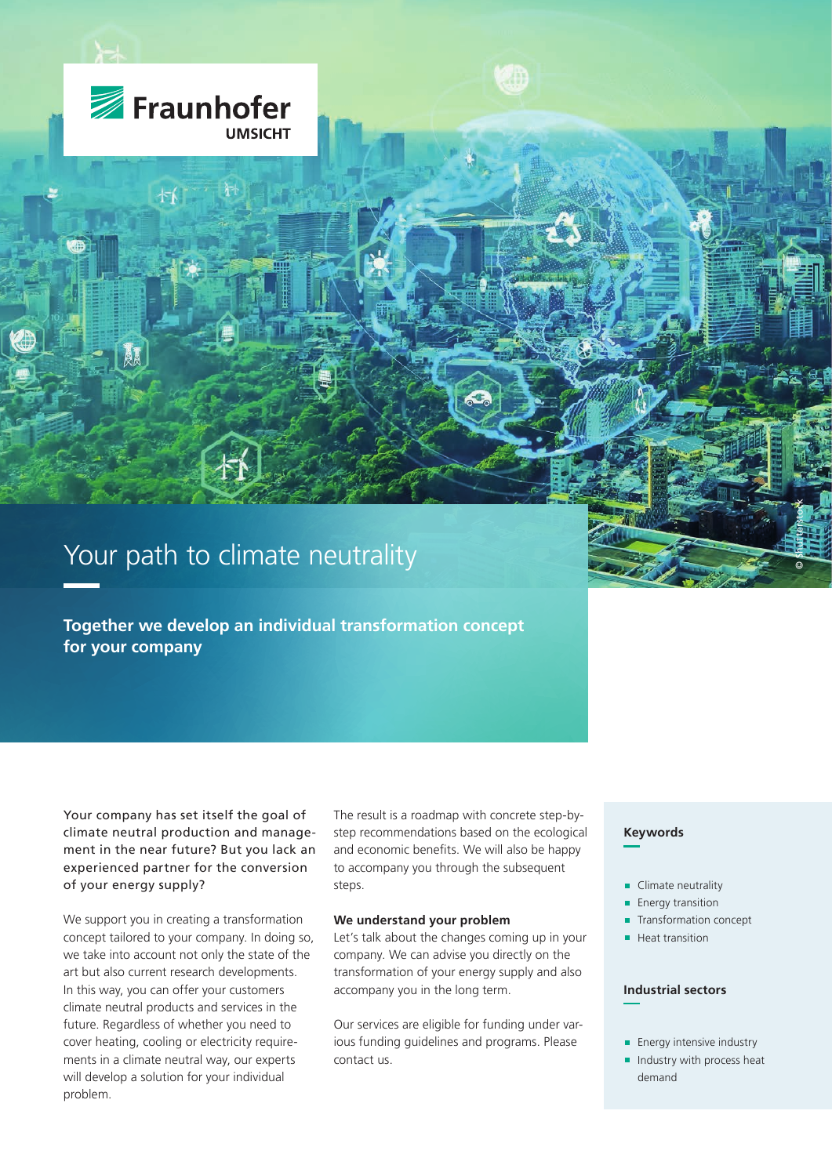

Fraunhofer

**UMSICHT** 

**Together we develop an individual transformation concept for your company**

Your company has set itself the goal of climate neutral production and management in the near future? But you lack an experienced partner for the conversion of your energy supply?

We support you in creating a transformation concept tailored to your company. In doing so, we take into account not only the state of the art but also current research developments. In this way, you can offer your customers climate neutral products and services in the future. Regardless of whether you need to cover heating, cooling or electricity requirements in a climate neutral way, our experts will develop a solution for your individual problem.

The result is a roadmap with concrete step-bystep recommendations based on the ecological and economic benefits. We will also be happy to accompany you through the subsequent steps.

#### **We understand your problem**

Let's talk about the changes coming up in your company. We can advise you directly on the transformation of your energy supply and also accompany you in the long term.

Our services are eligible for funding under various funding guidelines and programs. Please contact us.

#### **Keywords**

- Climate neutrality
- **Energy transition**
- **Transformation concept**

© Shutterstock

■ Heat transition

# **Industrial sectors**

- **Energy intensive industry**
- Industry with process heat demand